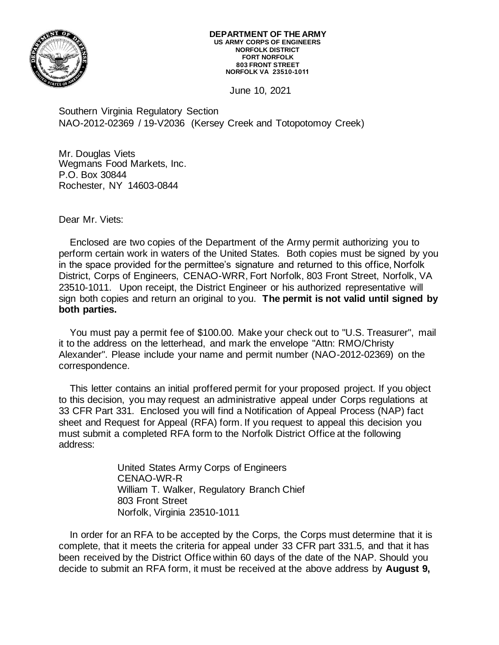

## **DEPARTMENT OF THE ARMY US ARMY CORPS OF ENGINEERS NORFOLK DISTRICT FORT NORFOLK 803 FRONT STREET NORFOLK VA 23510-1011**

June 10, 2021

Southern Virginia Regulatory Section NAO-2012-02369 / 19-V2036 (Kersey Creek and Totopotomoy Creek)

Mr. Douglas Viets Wegmans Food Markets, Inc. P.O. Box 30844 Rochester, NY 14603-0844

Dear Mr. Viets:

Enclosed are two copies of the Department of the Army permit authorizing you to perform certain work in waters of the United States. Both copies must be signed by you in the space provided for the permittee's signature and returned to this office, Norfolk District, Corps of Engineers, CENAO-WRR, Fort Norfolk, 803 Front Street, Norfolk, VA 23510-1011. Upon receipt, the District Engineer or his authorized representative will sign both copies and return an original to you. **The permit is not valid until signed by both parties.**

You must pay a permit fee of \$100.00. Make your check out to "U.S. Treasurer", mail it to the address on the letterhead, and mark the envelope "Attn: RMO/Christy Alexander". Please include your name and permit number (NAO-2012-02369) on the correspondence.

This letter contains an initial proffered permit for your proposed project. If you object to this decision, you may request an administrative appeal under Corps regulations at 33 CFR Part 331. Enclosed you will find a Notification of Appeal Process (NAP) fact sheet and Request for Appeal (RFA) form. If you request to appeal this decision you must submit a completed RFA form to the Norfolk District Office at the following address:

> United States Army Corps of Engineers CENAO-WR-R William T. Walker, Regulatory Branch Chief 803 Front Street Norfolk, Virginia 23510-1011

In order for an RFA to be accepted by the Corps, the Corps must determine that it is complete, that it meets the criteria for appeal under 33 CFR part 331.5, and that it has been received by the District Office within 60 days of the date of the NAP. Should you decide to submit an RFA form, it must be received at the above address by **August 9,**